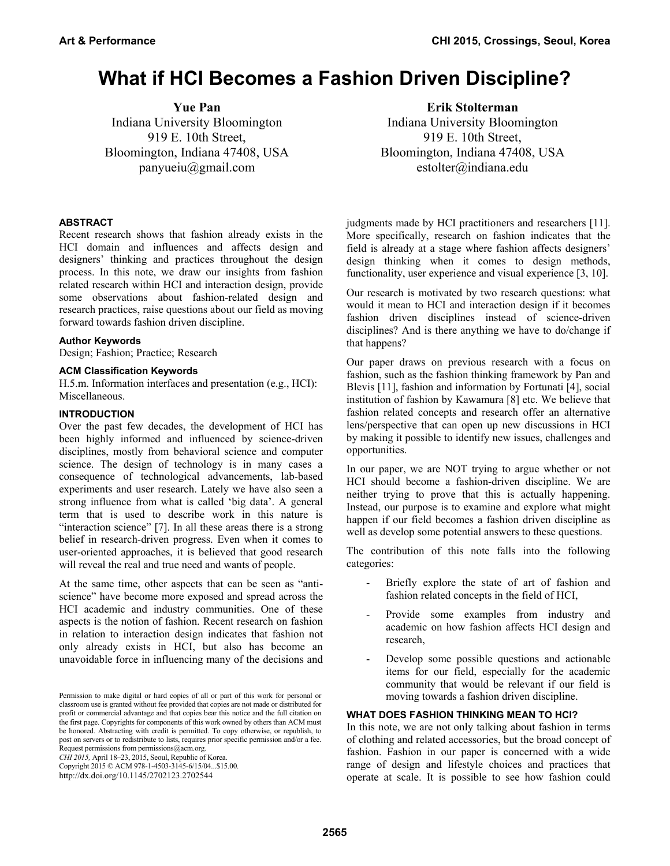# **What if HCI Becomes a Fashion Driven Discipline?**

**Yue Pan**  Indiana University Bloomington 919 E. 10th Street, Bloomington, Indiana 47408, USA panyueiu@gmail.com

#### **ABSTRACT**

Recent research shows that fashion already exists in the HCI domain and influences and affects design and designers' thinking and practices throughout the design process. In this note, we draw our insights from fashion related research within HCI and interaction design, provide some observations about fashion-related design and research practices, raise questions about our field as moving forward towards fashion driven discipline.

#### **Author Keywords**

Design; Fashion; Practice; Research

#### **ACM Classification Keywords**

H.5.m. Information interfaces and presentation (e.g., HCI): Miscellaneous.

## **INTRODUCTION**

Over the past few decades, the development of HCI has been highly informed and influenced by science-driven disciplines, mostly from behavioral science and computer science. The design of technology is in many cases a consequence of technological advancements, lab-based experiments and user research. Lately we have also seen a strong influence from what is called 'big data'. A general term that is used to describe work in this nature is "interaction science" [7]. In all these areas there is a strong belief in research-driven progress. Even when it comes to user-oriented approaches, it is believed that good research will reveal the real and true need and wants of people.

At the same time, other aspects that can be seen as "antiscience" have become more exposed and spread across the HCI academic and industry communities. One of these aspects is the notion of fashion. Recent research on fashion in relation to interaction design indicates that fashion not only already exists in HCI, but also has become an unavoidable force in influencing many of the decisions and

*CHI 2015,* April 18–23, 2015, Seoul, Republic of Korea.

Copyright 2015 © ACM 978-1-4503-3145-6/15/04...\$15.00.

http://dx.doi.org/10.1145/2702123.2702544

**Erik Stolterman**  Indiana University Bloomington 919 E. 10th Street, Bloomington, Indiana 47408, USA estolter@indiana.edu

judgments made by HCI practitioners and researchers [11]. More specifically, research on fashion indicates that the field is already at a stage where fashion affects designers' design thinking when it comes to design methods, functionality, user experience and visual experience [3, 10].

Our research is motivated by two research questions: what would it mean to HCI and interaction design if it becomes fashion driven disciplines instead of science-driven disciplines? And is there anything we have to do/change if that happens?

Our paper draws on previous research with a focus on fashion, such as the fashion thinking framework by Pan and Blevis [11], fashion and information by Fortunati [4], social institution of fashion by Kawamura [8] etc. We believe that fashion related concepts and research offer an alternative lens/perspective that can open up new discussions in HCI by making it possible to identify new issues, challenges and opportunities.

In our paper, we are NOT trying to argue whether or not HCI should become a fashion-driven discipline. We are neither trying to prove that this is actually happening. Instead, our purpose is to examine and explore what might happen if our field becomes a fashion driven discipline as well as develop some potential answers to these questions.

The contribution of this note falls into the following categories:

- Briefly explore the state of art of fashion and fashion related concepts in the field of HCI,
- Provide some examples from industry and academic on how fashion affects HCI design and research,
- Develop some possible questions and actionable items for our field, especially for the academic community that would be relevant if our field is moving towards a fashion driven discipline.

## **WHAT DOES FASHION THINKING MEAN TO HCI?**

In this note, we are not only talking about fashion in terms of clothing and related accessories, but the broad concept of fashion. Fashion in our paper is concerned with a wide range of design and lifestyle choices and practices that operate at scale. It is possible to see how fashion could

Permission to make digital or hard copies of all or part of this work for personal or classroom use is granted without fee provided that copies are not made or distributed for profit or commercial advantage and that copies bear this notice and the full citation on the first page. Copyrights for components of this work owned by others than ACM must be honored. Abstracting with credit is permitted. To copy otherwise, or republish, to post on servers or to redistribute to lists, requires prior specific permission and/or a fee. Request permissions from permissions@acm.org.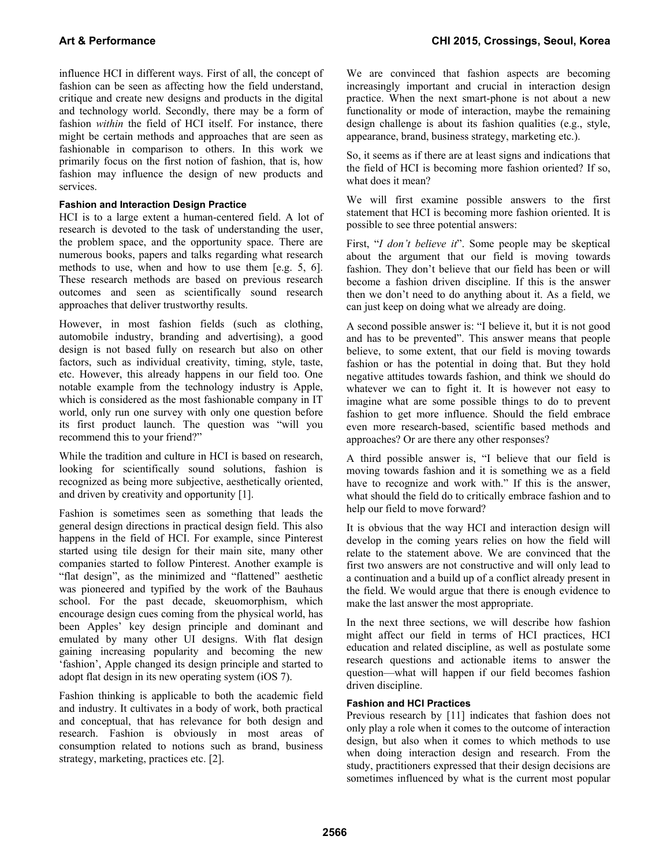influence HCI in different ways. First of all, the concept of fashion can be seen as affecting how the field understand, critique and create new designs and products in the digital and technology world. Secondly, there may be a form of fashion *within* the field of HCI itself. For instance, there might be certain methods and approaches that are seen as fashionable in comparison to others. In this work we primarily focus on the first notion of fashion, that is, how fashion may influence the design of new products and services.

## **Fashion and Interaction Design Practice**

HCI is to a large extent a human-centered field. A lot of research is devoted to the task of understanding the user, the problem space, and the opportunity space. There are numerous books, papers and talks regarding what research methods to use, when and how to use them [e.g. 5, 6]. These research methods are based on previous research outcomes and seen as scientifically sound research approaches that deliver trustworthy results.

However, in most fashion fields (such as clothing, automobile industry, branding and advertising), a good design is not based fully on research but also on other factors, such as individual creativity, timing, style, taste, etc. However, this already happens in our field too. One notable example from the technology industry is Apple, which is considered as the most fashionable company in IT world, only run one survey with only one question before its first product launch. The question was "will you recommend this to your friend?"

While the tradition and culture in HCI is based on research, looking for scientifically sound solutions, fashion is recognized as being more subjective, aesthetically oriented, and driven by creativity and opportunity [1].

Fashion is sometimes seen as something that leads the general design directions in practical design field. This also happens in the field of HCI. For example, since Pinterest started using tile design for their main site, many other companies started to follow Pinterest. Another example is "flat design", as the minimized and "flattened" aesthetic was pioneered and typified by the work of the Bauhaus school. For the past decade, skeuomorphism, which encourage design cues coming from the physical world, has been Apples' key design principle and dominant and emulated by many other UI designs. With flat design gaining increasing popularity and becoming the new 'fashion', Apple changed its design principle and started to adopt flat design in its new operating system (iOS 7).

Fashion thinking is applicable to both the academic field and industry. It cultivates in a body of work, both practical and conceptual, that has relevance for both design and research. Fashion is obviously in most areas of consumption related to notions such as brand, business strategy, marketing, practices etc. [2].

We are convinced that fashion aspects are becoming increasingly important and crucial in interaction design practice. When the next smart-phone is not about a new functionality or mode of interaction, maybe the remaining design challenge is about its fashion qualities (e.g., style, appearance, brand, business strategy, marketing etc.).

So, it seems as if there are at least signs and indications that the field of HCI is becoming more fashion oriented? If so, what does it mean?

We will first examine possible answers to the first statement that HCI is becoming more fashion oriented. It is possible to see three potential answers:

First, "*I don't believe it*". Some people may be skeptical about the argument that our field is moving towards fashion. They don't believe that our field has been or will become a fashion driven discipline. If this is the answer then we don't need to do anything about it. As a field, we can just keep on doing what we already are doing.

A second possible answer is: "I believe it, but it is not good and has to be prevented". This answer means that people believe, to some extent, that our field is moving towards fashion or has the potential in doing that. But they hold negative attitudes towards fashion, and think we should do whatever we can to fight it. It is however not easy to imagine what are some possible things to do to prevent fashion to get more influence. Should the field embrace even more research-based, scientific based methods and approaches? Or are there any other responses?

A third possible answer is, "I believe that our field is moving towards fashion and it is something we as a field have to recognize and work with." If this is the answer, what should the field do to critically embrace fashion and to help our field to move forward?

It is obvious that the way HCI and interaction design will develop in the coming years relies on how the field will relate to the statement above. We are convinced that the first two answers are not constructive and will only lead to a continuation and a build up of a conflict already present in the field. We would argue that there is enough evidence to make the last answer the most appropriate.

In the next three sections, we will describe how fashion might affect our field in terms of HCI practices, HCI education and related discipline, as well as postulate some research questions and actionable items to answer the question—what will happen if our field becomes fashion driven discipline.

## **Fashion and HCI Practices**

Previous research by [11] indicates that fashion does not only play a role when it comes to the outcome of interaction design, but also when it comes to which methods to use when doing interaction design and research. From the study, practitioners expressed that their design decisions are sometimes influenced by what is the current most popular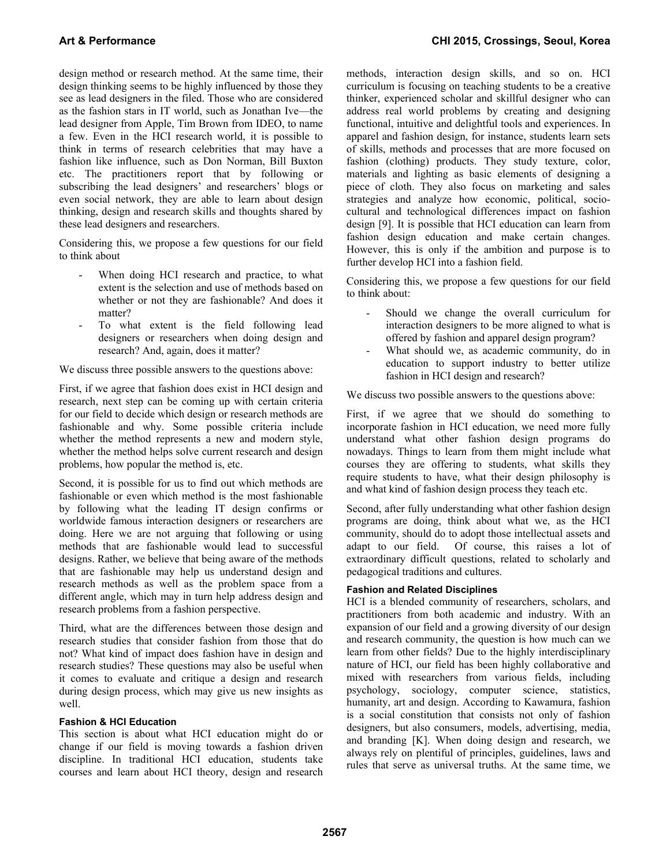design method or research method. At the same time, their design thinking seems to be highly influenced by those they see as lead designers in the filed. Those who are considered as the fashion stars in IT world, such as Jonathan Ive—the lead designer from Apple, Tim Brown from IDEO, to name a few. Even in the HCI research world, it is possible to think in terms of research celebrities that may have a fashion like influence, such as Don Norman, Bill Buxton etc. The practitioners report that by following or subscribing the lead designers' and researchers' blogs or even social network, they are able to learn about design thinking, design and research skills and thoughts shared by these lead designers and researchers.

Considering this, we propose a few questions for our field to think about

- When doing HCI research and practice, to what extent is the selection and use of methods based on whether or not they are fashionable? And does it matter?
- To what extent is the field following lead designers or researchers when doing design and research? And, again, does it matter?

We discuss three possible answers to the questions above:

First, if we agree that fashion does exist in HCI design and research, next step can be coming up with certain criteria for our field to decide which design or research methods are fashionable and why. Some possible criteria include whether the method represents a new and modern style, whether the method helps solve current research and design problems, how popular the method is, etc.

Second, it is possible for us to find out which methods are fashionable or even which method is the most fashionable by following what the leading IT design confirms or worldwide famous interaction designers or researchers are doing. Here we are not arguing that following or using methods that are fashionable would lead to successful designs. Rather, we believe that being aware of the methods that are fashionable may help us understand design and research methods as well as the problem space from a different angle, which may in turn help address design and research problems from a fashion perspective.

Third, what are the differences between those design and research studies that consider fashion from those that do not? What kind of impact does fashion have in design and research studies? These questions may also be useful when it comes to evaluate and critique a design and research during design process, which may give us new insights as well.

## **Fashion & HCI Education**

This section is about what HCI education might do or change if our field is moving towards a fashion driven discipline. In traditional HCI education, students take courses and learn about HCI theory, design and research methods, interaction design skills, and so on. HCI curriculum is focusing on teaching students to be a creative thinker, experienced scholar and skillful designer who can address real world problems by creating and designing functional, intuitive and delightful tools and experiences. In apparel and fashion design, for instance, students learn sets of skills, methods and processes that are more focused on fashion (clothing) products. They study texture, color, materials and lighting as basic elements of designing a piece of cloth. They also focus on marketing and sales strategies and analyze how economic, political, sociocultural and technological differences impact on fashion design [9]. It is possible that HCI education can learn from fashion design education and make certain changes. However, this is only if the ambition and purpose is to further develop HCI into a fashion field.

Considering this, we propose a few questions for our field to think about:

- Should we change the overall curriculum for interaction designers to be more aligned to what is offered by fashion and apparel design program?
- What should we, as academic community, do in education to support industry to better utilize fashion in HCI design and research?

We discuss two possible answers to the questions above:

First, if we agree that we should do something to incorporate fashion in HCI education, we need more fully understand what other fashion design programs do nowadays. Things to learn from them might include what courses they are offering to students, what skills they require students to have, what their design philosophy is and what kind of fashion design process they teach etc.

Second, after fully understanding what other fashion design programs are doing, think about what we, as the HCI community, should do to adopt those intellectual assets and adapt to our field. Of course, this raises a lot of extraordinary difficult questions, related to scholarly and pedagogical traditions and cultures.

# **Fashion and Related Disciplines**

HCI is a blended community of researchers, scholars, and practitioners from both academic and industry. With an expansion of our field and a growing diversity of our design and research community, the question is how much can we learn from other fields? Due to the highly interdisciplinary nature of HCI, our field has been highly collaborative and mixed with researchers from various fields, including psychology, sociology, computer science, statistics, humanity, art and design. According to Kawamura, fashion is a social constitution that consists not only of fashion designers, but also consumers, models, advertising, media, and branding [K]. When doing design and research, we always rely on plentiful of principles, guidelines, laws and rules that serve as universal truths. At the same time, we